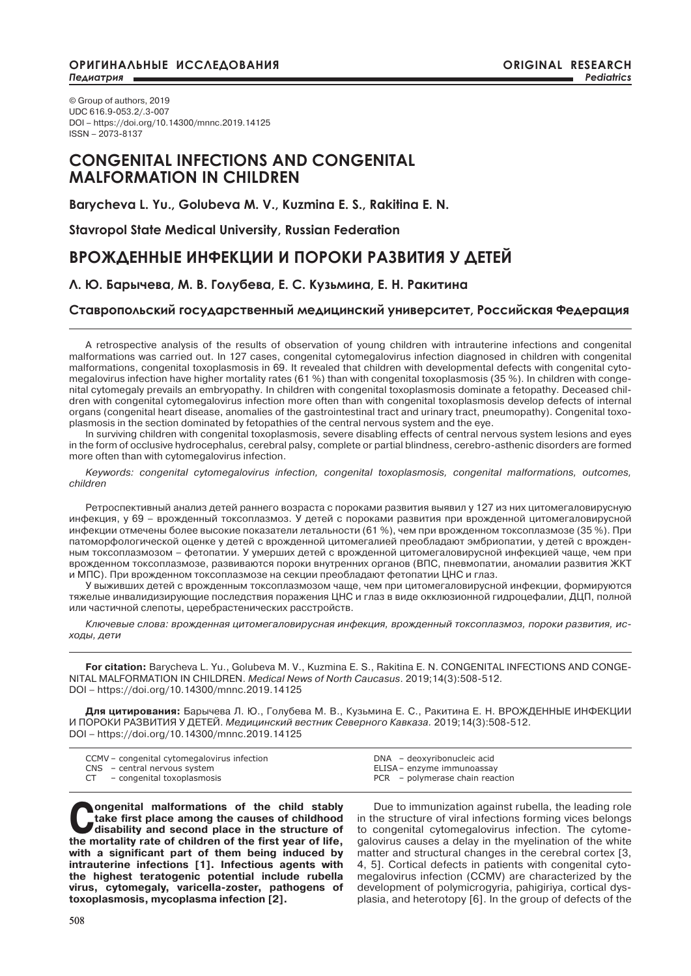© Group of authors, 2019 UDC 616.9-053.2/.3-007 DOI – https://doi.org/10.14300/mnnc.2019.14125 ISSN – 2073-8137

## **CONGENITAL INFECTIONS AND CONGENITAL MALFORMATION IN CHILDREN**

**Barycheva L. Yu., Golubeva M. V., Kuzmina E. S., Rakitina E. N.**

**Stavropol State Medical University, Russian Federation**

## **ВРОЖДЕННЫЕ ИНФЕКЦИИ И ПОРОКИ РАЗВИТИЯ У ДЕТЕЙ**

### **Л. Ю. Барычева, М. В. Голубева, Е. С. Кузьмина, Е. Н. Ракитина**

### **Ставропольский государственный медицинский университет, Российская Федерация**

A retrospective analysis of the results of observation of young children with intrauterine infections and congenital malformations was carried out. In 127 cases, congenital cytomegalovirus infection diagnosed in children with congenital malformations, congenital toxoplasmosis in 69. It revealed that children with developmental defects with congenital cytomegalovirus infection have higher mortality rates (61 %) than with congenital toxoplasmosis (35 %). In children with congenital cytomegaly prevails an embryopathy. In children with congenital toxoplasmosis dominate a fetopathy. Deceased children with congenital cytomegalovirus infection more often than with congenital toxoplasmosis develop defects of internal organs (congenital heart disease, anomalies of the gastrointestinal tract and urinary tract, pneumopathy). Congenital toxoplasmosis in the section dominated by fetopathies of the central nervous system and the eye.

In surviving children with congenital toxoplasmosis, severe disabling effects of central nervous system lesions and eyes in the form of occlusive hydrocephalus, cerebral palsy, complete or partial blindness, cerebro-asthenic disorders are formed more often than with cytomegalovirus infection.

*Keywords: congenital cytomegalovirus infection, congenital toxoplasmosis, congenital malformations, outcomes, children*

Ретроспективный анализ детей раннего возраста с пороками развития выявил у 127 из них цитомегаловирусную инфекция, у 69 – врожденный токсоплазмоз. У детей с пороками развития при врожденной цитомегаловирусной инфекции отмечены более высокие показатели летальности (61 %), чем при врожденном токсоплазмозе (35 %). При патоморфологической оценке у детей с врожденной цитомегалией преобладают эмбриопатии, у детей с врожденным токсоплазмозом – фетопатии. У умерших детей с врожденной цитомегаловирусной инфекцией чаще, чем при врожденном токсоплазмозе, развиваются пороки внутренних органов (ВПС, пневмопатии, аномалии развития ЖКТ и МПС). При врожденном токсоплазмозе на секции преобладают фетопатии ЦНС и глаз.

У выживших детей с врожденным токсоплазмозом чаще, чем при цитомегаловирусной инфекции, формируются тяжелые инвалидизирующие последствия поражения ЦНС и глаз в виде окклюзионной гидроцефалии, ДЦП, полной или частичной слепоты, церебрастенических расстройств.

*Ключевые слова: врожденная цитомегаловирусная инфекция, врожденный токсоплазмоз, пороки развития, исходы, дети*

**For citation:** Barycheva L. Yu., Golubeva M. V., Kuzmina E. S., Rakitina E. N. CONGENITAL INFECTIONS AND CONGE-NITAL MALFORMATION IN CHILDREN. *Medical News of North Caucasus*. 2019;14(3):508-512. DOI – https://doi.org/10.14300/mnnc.2019.14125

**Для цитирования:** Барычева Л. Ю., Голубева М. В., Кузьмина Е. С., Ракитина Е. Н. ВРОЖДЕННЫЕ ИНФЕКЦИИ И ПОРОКИ РАЗВИТИЯ У ДЕТЕЙ. *Медицинский вестник Северного Кавказа.* 2019;14(3):508-512. DOI – https://doi.org/10.14300/mnnc.2019.14125

| CCMV - congenital cytomegalovirus infection                   | DNA - deoxyribonucleic acid                                   |  |
|---------------------------------------------------------------|---------------------------------------------------------------|--|
| CNS - central nervous system<br>CT – congenital toxoplasmosis | ELISA – enzyme immunoassay<br>PCR – polymerase chain reaction |  |

**Congenital malformations of the child stably take first place among the causes of childhood disability and second place in the structure of**  $\frac{1}{2}$ **take first place among the causes of childhood the mortality rate of children of the first year of life, with a significant part of them being induced by intrauterine infections [1]. Infectious agents with the highest teratogenic potential include rubella virus, cytomegaly, varicella-zoster, pathogens of toxoplasmosis, mycoplasma infection [2].**

Due to immunization against rubella, the leading role in the structure of viral infections forming vices belongs to congenital cytomegalovirus infection. The cytomegalovirus causes a delay in the myelination of the white matter and structural changes in the cerebral cortex [3, 4, 5]. Cortical defects in patients with congenital cytomegalovirus infection (CCMV) are characterized by the development of polymicrogyria, pahigiriya, cortical dysplasia, and heterotopy [6]. In the group of defects of the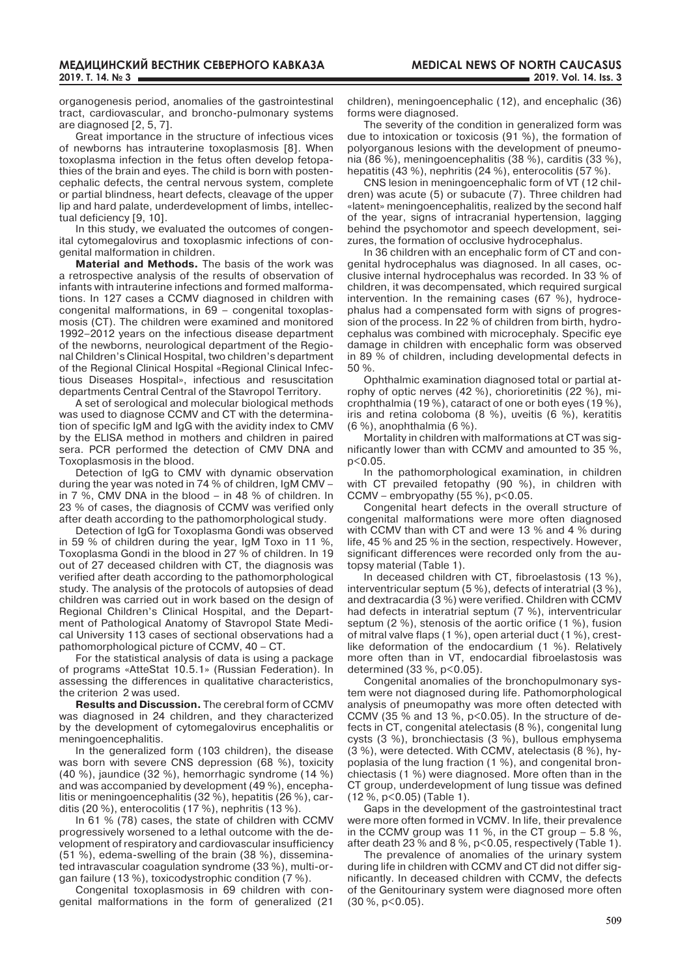organogenesis period, anomalies of the gastrointestinal tract, cardiovascular, and broncho-pulmonary systems are diagnosed [2, 5, 7].

Great importance in the structure of infectious vices of newborns has intrauterine toxoplasmosis [8]. When toxoplasma infection in the fetus often develop fetopathies of the brain and eyes. The child is born with postencephalic defects, the central nervous system, complete or partial blindness, heart defects, cleavage of the upper lip and hard palate, underdevelopment of limbs, intellectual deficiency [9, 10].

In this study, we evaluated the outcomes of congenital cytomegalovirus and toxoplasmic infections of congenital malformation in children.

**Material and Methods.** The basis of the work was a retrospective analysis of the results of observation of infants with intrauterine infections and formed malformations. In 127 cases a CCMV diagnosed in children with congenital malformations, in 69 – congenital toxoplasmosis (CT). The children were examined and monitored 1992–2012 years on the infectious disease department of the newborns, neurological department of the Regional Children's Clinical Hospital, two children's department of the Regional Clinical Hospital «Regional Clinical Infectious Diseases Hospital», infectious and resuscitation departments Central Central of the Stavropol Territory.

A set of serological and molecular biological methods was used to diagnose CCMV and CT with the determination of specific IgM and IgG with the avidity index to CMV by the ELISA method in mothers and children in paired sera. PCR performed the detection of CMV DNA and Toxoplasmosis in the blood.

Detection of IgG to CMV with dynamic observation during the year was noted in 74 % of children, IgM CMV – in 7 %, CMV DNA in the blood – in 48 % of children. In 23 % of cases, the diagnosis of CCMV was verified only after death according to the pathomorphological study.

Detection of IgG for Toxoplasma Gondi was observed in 59 % of children during the year, IgM Toxo in 11 %, Toxoplasma Gondi in the blood in 27 % of children. In 19 out of 27 deceased children with CT, the diagnosis was verified after death according to the pathomorphological study. The analysis of the protocols of autopsies of dead children was carried out in work based on the design of Regional Children's Clinical Hospital, and the Department of Pathological Anatomy of Stavropol State Medical University 113 cases of sectional observations had a pathomorphological picture of CCMV, 40 – CT.

For the statistical analysis of data is using a package of programs «AtteStat 10.5.1» (Russian Federation). In assessing the differences in qualitative characteristics, the criterion 2 was used.

**Results and Discussion.** The cerebral form of CCMV was diagnosed in 24 children, and they characterized by the development of cytomegalovirus encephalitis or meningoencephalitis.

In the generalized form (103 children), the disease was born with severe CNS depression (68 %), toxicity (40 %), jaundice (32 %), hemorrhagic syndrome (14 %) and was accompanied by development (49 %), encephalitis or meningoencephalitis (32 %), hepatitis (26 %), carditis (20 %), enterocolitis (17 %), nephritis (13 %).

In 61 % (78) cases, the state of children with CCMV progressively worsened to a lethal outcome with the development of respiratory and cardiovascular insufficiency (51 %), edema-swelling of the brain (38 %), disseminated intravascular coagulation syndrome (33 %), multi-organ failure (13 %), toxicodystrophic condition (7 %).

Congenital toxoplasmosis in 69 children with congenital malformations in the form of generalized (21 children), meningoencephalic (12), and encephalic (36) forms were diagnosed.

The severity of the condition in generalized form was due to intoxication or toxicosis (91 %), the formation of polyorganous lesions with the development of pneumonia (86 %), meningoencephalitis (38 %), carditis (33 %), hepatitis (43 %), nephritis (24 %), enterocolitis (57 %).

CNS lesion in meningoencephalic form of VT (12 children) was acute (5) or subacute (7). Three children had «latent» meningoencephalitis, realized by the second half of the year, signs of intracranial hypertension, lagging behind the psychomotor and speech development, seizures, the formation of occlusive hydrocephalus.

In 36 children with an encephalic form of CT and congenital hydrocephalus was diagnosed. In all cases, occlusive internal hydrocephalus was recorded. In 33 % of children, it was decompensated, which required surgical intervention. In the remaining cases (67 %), hydrocephalus had a compensated form with signs of progression of the process. In 22 % of children from birth, hydrocephalus was combined with microcephaly. Specific eye damage in children with encephalic form was observed in 89 % of children, including developmental defects in 50 %.

Ophthalmic examination diagnosed total or partial atrophy of optic nerves (42 %), chorioretinitis (22 %), microphthalmia (19 %), cataract of one or both eyes (19 %), iris and retina coloboma (8 %), uveitis (6 %), keratitis (6 %), anophthalmia (6 %).

Mortality in children with malformations at CT was significantly lower than with CCMV and amounted to 35 %, p<0.05.

In the pathomorphological examination, in children with CT prevailed fetopathy (90 %), in children with CCMV – embryopathy  $(55 %)$ ,  $p < 0.05$ .

Congenital heart defects in the overall structure of congenital malformations were more often diagnosed with CCMV than with CT and were 13 % and 4 % during life, 45 % and 25 % in the section, respectively. However, significant differences were recorded only from the autopsy material (Table 1).

In deceased children with CT, fibroelastosis (13 %), interventricular septum (5 %), defects of interatrial (3 %), and dextracardia (3 %) were verified. Children with CCMV had defects in interatrial septum (7 %), interventricular septum (2 %), stenosis of the aortic orifice (1 %), fusion of mitral valve flaps (1 %), open arterial duct (1 %), crestlike deformation of the endocardium (1 %). Relatively more often than in VT, endocardial fibroelastosis was determined (33 %, p<0.05).

Congenital anomalies of the bronchopulmonary system were not diagnosed during life. Pathomorphological analysis of pneumopathy was more often detected with CCMV (35  $%$  and 13  $%$ , p<0.05). In the structure of defects in CT, congenital atelectasis (8 %), congenital lung cysts (3 %), bronchiectasis (3 %), bullous emphysema (3 %), were detected. With CCMV, atelectasis (8 %), hypoplasia of the lung fraction (1 %), and congenital bronchiectasis (1 %) were diagnosed. More often than in the CT group, underdevelopment of lung tissue was defined (12 %, p<0.05) (Table 1).

Gaps in the development of the gastrointestinal tract were more often formed in VCMV. In life, their prevalence in the CCMV group was 11 %, in the CT group  $-5.8$  %, after death 23 % and 8 %, p<0.05, respectively (Table 1).

The prevalence of anomalies of the urinary system during life in children with CCMV and CT did not differ significantly. In deceased children with CCMV, the defects of the Genitourinary system were diagnosed more often  $(30 \%$ ,  $p < 0.05$ ).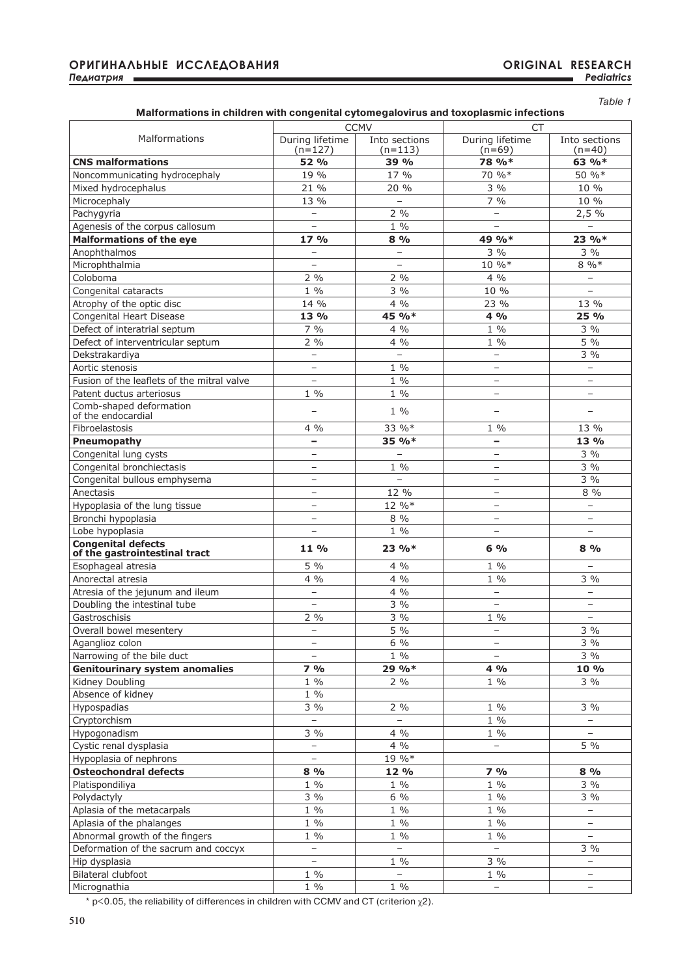| Malformations in children with congenital cytomegalovirus and toxoplasmic infections |  |
|--------------------------------------------------------------------------------------|--|
|                                                                                      |  |

|                                                            |                              | <b>CCMV</b>              | <b>CT</b>                   |                           |
|------------------------------------------------------------|------------------------------|--------------------------|-----------------------------|---------------------------|
| Malformations                                              |                              |                          |                             |                           |
|                                                            | During lifetime<br>$(n=127)$ | Into sections<br>(n=113) | During lifetime<br>$(n=69)$ | Into sections<br>$(n=40)$ |
| <b>CNS malformations</b>                                   | 52 %                         | 39 %                     | 78 %*                       | 63 %*                     |
| Noncommunicating hydrocephaly                              | 19 %                         | 17 %                     | 70 %*                       | 50 %*                     |
| Mixed hydrocephalus                                        | 21 %                         | 20 %                     | $3\%$                       | 10 %                      |
| Microcephaly                                               | 13 %                         | $\equiv$                 | 7%                          | 10 %                      |
| Pachygyria                                                 | $\overline{a}$               | 2 %                      | $-$                         | 2,5%                      |
| Agenesis of the corpus callosum                            | $\qquad \qquad -$            | $1\%$                    | $\overline{\phantom{0}}$    | $\overline{\phantom{0}}$  |
| <b>Malformations of the eye</b>                            | 17%                          | 8%                       | 49 %*                       | 23 %*                     |
| Anophthalmos                                               | $\overline{\phantom{0}}$     | $\overline{\phantom{0}}$ | $3\%$                       | $3\%$                     |
|                                                            | $\qquad \qquad -$            | $\qquad \qquad -$        | 10 %*                       | $8\%$                     |
| Microphthalmia                                             |                              |                          |                             |                           |
| Coloboma                                                   | $2\%$                        | 2 %<br>$\frac{1}{3}$ %   | $4\%$                       | $\overline{\phantom{a}}$  |
| Congenital cataracts                                       | $1\%$                        |                          | 10 %                        | $\overline{\phantom{a}}$  |
| Atrophy of the optic disc                                  | 14 %                         | $4\%$                    | 23 %                        | 13 %                      |
| Congenital Heart Disease                                   | 13 %                         | 45 %*                    | 4 %                         | 25 %                      |
| Defect of interatrial septum                               | $7\%$                        | $4\%$                    | $1\%$                       | 3 %                       |
| Defect of interventricular septum                          | 2%                           | $4\%$                    | $1\%$                       | $5\%$                     |
| Dekstrakardiya                                             | $\qquad \qquad -$            | $\qquad \qquad -$        | $\qquad \qquad -$           | 3%                        |
| Aortic stenosis                                            | $\overline{\phantom{0}}$     | $1\%$                    | $\overline{\phantom{0}}$    | $\overline{\phantom{a}}$  |
| Fusion of the leaflets of the mitral valve                 | $\overline{\phantom{0}}$     | $1\%$                    | $\overline{\phantom{0}}$    | $\overline{\phantom{a}}$  |
| Patent ductus arteriosus                                   | $1\%$                        | $1 \frac{0}{0}$          | $\overline{\phantom{0}}$    | $\overline{\phantom{0}}$  |
| Comb-shaped deformation<br>of the endocardial              | $\overline{\phantom{0}}$     | $1\%$                    | $\overline{\phantom{0}}$    | $\overline{\phantom{a}}$  |
| Fibroelastosis                                             | $4\%$                        | 33 %*                    | $1\%$                       | 13 %                      |
| Pneumopathy                                                | $\overline{\phantom{0}}$     | 35 %*                    | -                           | 13 %                      |
| Congenital lung cysts                                      | $\qquad \qquad -$            | $\overline{\phantom{a}}$ | -                           | 3 %                       |
| Congenital bronchiectasis                                  | $\qquad \qquad -$            | $1\%$                    | $\overline{\phantom{0}}$    | $3\%$                     |
| Congenital bullous emphysema                               | $\qquad \qquad -$            | $\equiv$                 | $\qquad \qquad -$           | 3 %                       |
| Anectasis                                                  |                              | 12 %                     | $\overline{\phantom{0}}$    | 8 %                       |
| Hypoplasia of the lung tissue                              | $\overline{\phantom{0}}$     | 12 %*                    | $\overline{\phantom{0}}$    | $\overline{\phantom{a}}$  |
| Bronchi hypoplasia                                         | $\qquad \qquad -$            | 8 %                      | -                           | $\overline{\phantom{m}}$  |
| Lobe hypoplasia                                            | $\overline{a}$               | $1\%$                    | $\overline{a}$              | $\equiv$                  |
| <b>Congenital defects</b><br>of the gastrointestinal tract | 11 %                         | $23\%*$                  | $6\%$                       | 8%                        |
| Esophageal atresia                                         | 5 %                          | $4\%$                    | $1\%$                       | $\equiv$                  |
| Anorectal atresia                                          | $4\%$                        | $4\%$                    | $1\%$                       | 3 %                       |
| Atresia of the jejunum and ileum                           | $\overline{\phantom{0}}$     | $4\%$                    | $\equiv$                    | $\equiv$                  |
| Doubling the intestinal tube                               | $\qquad \qquad -$            | 3 %                      | -                           | $\qquad \qquad -$         |
| Gastroschisis                                              | 2 %                          | $3\%$                    | $1\%$                       | $\overline{\phantom{a}}$  |
| Overall bowel mesentery                                    | $\overline{\phantom{0}}$     | 5 %                      | $\equiv$                    | 3%                        |
| Aganglioz colon                                            | $\qquad \qquad -$            | $6\%$                    | -                           | 3 %                       |
| Narrowing of the bile duct                                 | $\overline{a}$               | $1 \frac{0}{0}$          | $\overline{a}$              | $3\%$                     |
| <b>Genitourinary system anomalies</b>                      | 7%                           | $29.96*$                 | 4 %                         | 10 %                      |
| Kidney Doubling                                            | $1\%$                        | $2\%$                    | $1\%$                       | $3\%$                     |
| Absence of kidney                                          | $1 \frac{0}{0}$              |                          |                             |                           |
|                                                            |                              |                          |                             |                           |
| Hypospadias                                                | $3\%$                        | $2\%$                    | $1\%$                       | 3 %                       |
| Cryptorchism                                               | $\overline{\phantom{0}}$     | $\qquad \qquad -$        | $1 \frac{0}{0}$             | $\overline{\phantom{a}}$  |
| Hypogonadism                                               | $3\%$                        | 4 %                      | $1\%$                       | $\overline{\phantom{a}}$  |
| Cystic renal dysplasia                                     | $\overline{\phantom{0}}$     | $4\%$                    | $\overline{\phantom{0}}$    | 5 %                       |
| Hypoplasia of nephrons                                     | $\qquad \qquad -$            | 19 %*                    |                             |                           |
| Osteochondral defects                                      | 8%                           | 12 %                     | 7%                          | 8 %                       |
| Platispondiliya                                            | $1\%$                        | $1 \frac{0}{0}$          | $1\%$                       | 3 %                       |
| Polydactyly                                                | 3%                           | $6\%$                    | $1\%$                       | $3\%$                     |
| Aplasia of the metacarpals                                 | $1 \frac{0}{0}$              | $1 \frac{0}{0}$          | $1 \frac{0}{0}$             | $\qquad \qquad -$         |
| Aplasia of the phalanges                                   | $1\%$                        | $1 \frac{0}{0}$          | $1\%$                       | $\equiv$                  |
| Abnormal growth of the fingers                             | $1\%$                        | $1\%$                    | $1\%$                       | $\overline{\phantom{0}}$  |
| Deformation of the sacrum and coccyx                       | $\overline{\phantom{0}}$     | $\overline{\phantom{0}}$ | $\overline{\phantom{0}}$    | 3 %                       |
| Hip dysplasia                                              | $\qquad \qquad -$            | $1\%$                    | $3\%$                       | $\overline{\phantom{a}}$  |
| Bilateral clubfoot                                         | $1\%$                        | $\equiv$                 | $1\%$                       | $\overline{\phantom{0}}$  |
| Micrognathia                                               | $1 \frac{0}{0}$              | $1\%$                    | $\overline{\phantom{0}}$    | $\overline{\phantom{a}}$  |

 $*$  p<0.05, the reliability of differences in children with CCMV and CT (criterion  $χ2$ ).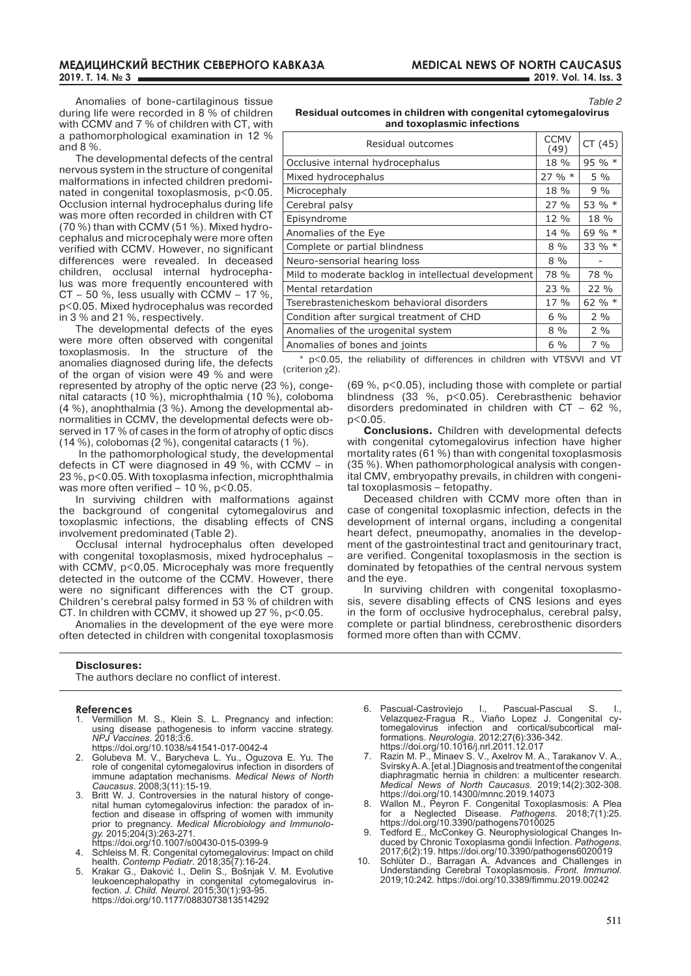*Table 2*

Anomalies of bone-cartilaginous tissue during life were recorded in 8 % of children with CCMV and 7 % of children with CT, with a pathomorphological examination in 12 % and 8 %.

The developmental defects of the central nervous system in the structure of congenital malformations in infected children predominated in congenital toxoplasmosis, p<0.05. Occlusion internal hydrocephalus during life was more often recorded in children with CT (70 %) than with CCMV (51 %). Mixed hydrocephalus and microcephaly were more often verified with CCMV. However, no significant differences were revealed. In deceased children, occlusal internal hydrocephalus was more frequently encountered with  $CT - 50$  %, less usually with CCMV – 17 %, p<0.05. Mixed hydrocephalus was recorded in 3 % and 21 %, respectively.

The developmental defects of the eyes were more often observed with congenital toxoplasmosis. In the structure of the anomalies diagnosed during life, the defects of the organ of vision were 49 % and were

represented by atrophy of the optic nerve (23 %), congenital cataracts (10 %), microphthalmia (10 %), coloboma (4 %), anophthalmia (3 %). Among the developmental abnormalities in CCMV, the developmental defects were observed in 17 % of cases in the form of atrophy of optic discs (14 %), colobomas (2 %), congenital cataracts (1 %).

 In the pathomorphological study, the developmental defects in CT were diagnosed in 49 %, with CCMV – in 23 %, p<0.05. With toxoplasma infection, microphthalmia was more often verified  $-10$  %, p<0.05.

In surviving children with malformations against the background of congenital cytomegalovirus and toxoplasmic infections, the disabling effects of CNS involvement predominated (Table 2).

Occlusal internal hydrocephalus often developed with congenital toxoplasmosis, mixed hydrocephalus – with CCMV, p<0,05. Microcephaly was more frequently detected in the outcome of the CCMV. However, there were no significant differences with the CT group. Children's cerebral palsy formed in 53 % of children with CT. In children with CCMV, it showed up 27 %, p<0.05.

Anomalies in the development of the eye were more often detected in children with congenital toxoplasmosis

#### **Disclosures:**

The authors declare no conflict of interest.

#### **References**

- 1. Vermillion M. S., Klein S. L. Pregnancy and infection: using disease pathogenesis to inform vaccine strategy. *NPJ Vaccines*. 2018;3:6. https://doi.org/10.1038/s41541-017-0042-4
- 2. Golubeva M. V., Barycheva L. Yu., Oguzova E. Yu. The role of congenital cytomegalovirus infection in disorders of
- immune adaptation mechanisms. *Medical News of North Caucasus*. 2008;3(11):15-19. 3. Britt W. J. Controversies in the natural history of congenital human cytomegalovirus infection: the paradox of infection and disease in offspring of women with immunity
- prior to pregnancy. *Medical Microbiology and Immunology.* 2015;204(3):263-271.
- https://doi.org/10.1007/s00430-015-0399-9
- 4. Schleiss M. R. Congenital cytomegalovirus: Impact on child health. *Contemp Pediatr*. 2018;35(7):16-24.
- 5. Krakar G., Đaković I., Delin S., Bošnjak V. M. Evolutive leukoencephalopathy in congenital cytomegalovirus infection. *J. Child. Neurol.* 2015;30(1):93-95. https://doi.org/10.1177/0883073813514292

**Residual outcomes in children with congenital cytomegalovirus and toxoplasmic infections**

| Residual outcomes                                    | <b>CCMV</b><br>(49) | CT(45)   |
|------------------------------------------------------|---------------------|----------|
| Occlusive internal hydrocephalus                     |                     | 95 % $*$ |
| Mixed hydrocephalus                                  | $27 \%$ *           | $5\%$    |
| Microcephaly                                         | 18 %                | $9\%$    |
| Cerebral palsy                                       | 27%                 | 53 % $*$ |
| Episyndrome                                          | 12 %                | 18 %     |
| Anomalies of the Eye                                 | 14 %                | 69 % *   |
| Complete or partial blindness                        | $8\%$               | 33 % $*$ |
| Neuro-sensorial hearing loss                         | $8\%$               |          |
| Mild to moderate backlog in intellectual development |                     | 78 %     |
| Mental retardation                                   | 23 %                | 22 %     |
| Tserebrastenicheskom behavioral disorders            | $17\%$              | 62 % $*$ |
| Condition after surgical treatment of CHD            | $6\%$               | $2\%$    |
| Anomalies of the urogenital system                   |                     | $2\%$    |
| Anomalies of bones and joints                        | $6\%$               | $7\%$    |
|                                                      |                     |          |

\* p<0.05, the reliability of differences in children with VTSVVI and VT (criterion χ2).

> (69 %, p<0.05), including those with complete or partial blindness (33 %, p<0.05). Cerebrasthenic behavior disorders predominated in children with CT – 62 %,  $p < 0.05$ .

> **Conclusions.** Children with developmental defects with congenital cytomegalovirus infection have higher mortality rates (61 %) than with congenital toxoplasmosis (35 %). When pathomorphological analysis with congenital CMV, embryopathy prevails, in children with congenital toxoplasmosis – fetopathy.

> Deceased children with CCMV more often than in case of congenital toxoplasmic infection, defects in the development of internal organs, including a congenital heart defect, pneumopathy, anomalies in the development of the gastrointestinal tract and genitourinary tract, are verified. Congenital toxoplasmosis in the section is dominated by fetopathies of the central nervous system and the eye.

> In surviving children with congenital toxoplasmosis, severe disabling effects of CNS lesions and eyes in the form of occlusive hydrocephalus, cerebral palsy, complete or partial blindness, cerebrosthenic disorders formed more often than with CCMV.

- 6. Pascual-Castroviejo I., Pascual-Pascual S. I., Velazquez-Fragua R., Viaño Lopez J. Congenital cytomegalovirus infection and cortical/subcortical malformations. *Neurologia*. 2012;27(6):336-342. https://doi.org/10.1016/j.nrl.2011.12.017
- 7. Razin M. P., Minaev S. V., Axelrov M. A., Tarakanov V. A., Svirsky A. A. [et al.] Diagnosis and treatment of the congenital diaphragmatic hernia in children: a multicenter research. *Medical News of North Caucasus.* 2019;14(2):302-308. https://doi.org/10.14300/mnnc.2019.14073
- 8. Wallon M., Peyron F. Congenital Toxoplasmosis: A Plea for a Neglected Disease. *Pathogens*. 2018;7(1):25. https://doi.org/10.3390/pathogens7010025
- 9. Tedford E., McConkey G. Neurophysiological Changes Induced by Chronic Toxoplasma gondii Infection. *Pathogens*. 2017;6(2):19. https://doi.org/10.3390/pathogens6020019
- 10. Schlüter D., Barragan A. Advances and Challenges in Understanding Cerebral Toxoplasmosis. *Front. Immunol*. 2019;10:242. https://doi.org/10.3389/fimmu.2019.00242